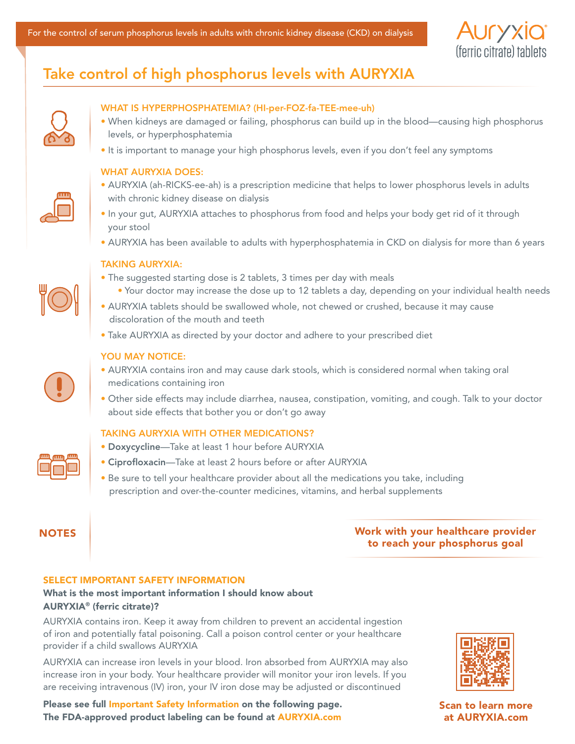

# Take control of high phosphorus levels with AURYXIA



# WHAT IS HYPERPHOSPHATEMIA? (HI-per-FOZ-fa-TEE-mee-uh)

- When kidneys are damaged or failing, phosphorus can build up in the blood—causing high phosphorus levels, or hyperphosphatemia
- It is important to manage your high phosphorus levels, even if you don't feel any symptoms

#### WHAT AURYXIA DOES:

- AURYXIA (ah-RICKS-ee-ah) is a prescription medicine that helps to lower phosphorus levels in adults with chronic kidney disease on dialysis
- In your gut, AURYXIA attaches to phosphorus from food and helps your body get rid of it through your stool
- AURYXIA has been available to adults with hyperphosphatemia in CKD on dialysis for more than 6 years

#### TAKING AURYXIA:



- The suggested starting dose is 2 tablets, 3 times per day with meals
	- Your doctor may increase the dose up to 12 tablets a day, depending on your individual health needs
- AURYXIA tablets should be swallowed whole, not chewed or crushed, because it may cause discoloration of the mouth and teeth
- Take AURYXIA as directed by your doctor and adhere to your prescribed diet

#### YOU MAY NOTICE:



- AURYXIA contains iron and may cause dark stools, which is considered normal when taking oral medications containing iron
- Other side effects may include diarrhea, nausea, constipation, vomiting, and cough. Talk to your doctor about side effects that bother you or don't go away

### TAKING AURYXIA WITH OTHER MEDICATIONS?

- Doxycycline—Take at least 1 hour before AURYXIA
- Ciprofloxacin—Take at least 2 hours before or after AURYXIA
- Be sure to tell your healthcare provider about all the medications you take, including prescription and over-the-counter medicines, vitamins, and herbal supplements

# NOTES [Work with your healthcare provider](https://www.auryxia.com/hyperphosphatemia/patients/)  to reach your phosphorus goal

# SELECT IMPORTANT SAFETY INFORMATION

# What is the most important information I should know about AURYXIA® (ferric citrate)?

AURYXIA contains iron. Keep it away from children to prevent an accidental ingestion of iron and potentially fatal poisoning. Call a poison control center or your healthcare provider if a child swallows AURYXIA

AURYXIA can increase iron levels in your blood. Iron absorbed from AURYXIA may also increase iron in your body. Your healthcare provider will monitor your iron levels. If you are receiving intravenous (IV) iron, your IV iron dose may be adjusted or discontinued





Scan to learn more at AURYXIA.com